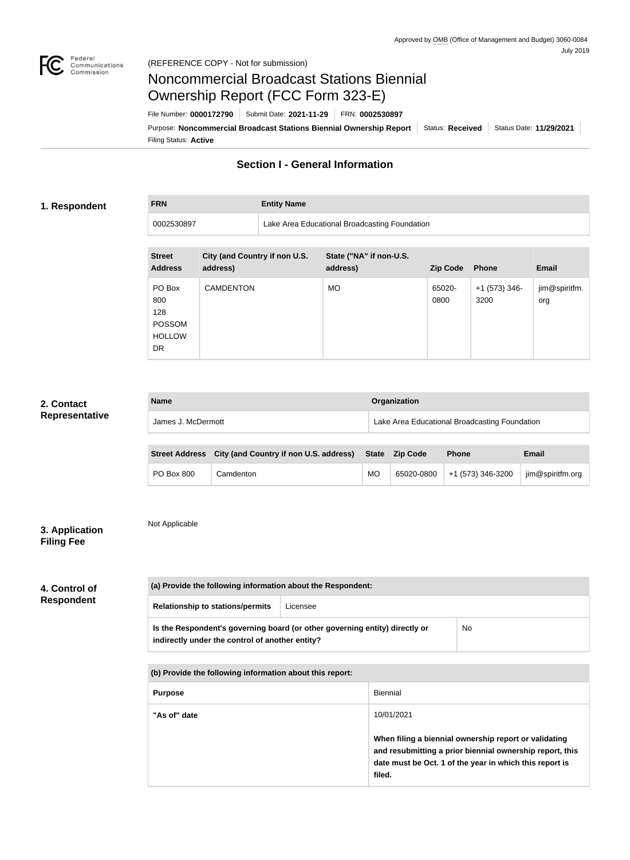

**FRN Entity Name**

# Noncommercial Broadcast Stations Biennial Ownership Report (FCC Form 323-E)

Filing Status: **Active** Purpose: Noncommercial Broadcast Stations Biennial Ownership Report Status: Received Status Date: 11/29/2021 File Number: **0000172790** Submit Date: **2021-11-29** FRN: **0002530897**

# **Section I - General Information**

#### **1. Respondent**

0002530897 Lake Area Educational Broadcasting Foundation

| <b>Street</b><br><b>Address</b>                                     | City (and Country if non U.S.<br>address) | State ("NA" if non-U.S.<br>address) | <b>Zip Code</b> | <b>Phone</b>            | <b>Email</b>         |
|---------------------------------------------------------------------|-------------------------------------------|-------------------------------------|-----------------|-------------------------|----------------------|
| PO Box<br>800<br>128<br><b>POSSOM</b><br><b>HOLLOW</b><br><b>DR</b> | <b>CAMDENTON</b>                          | <b>MO</b>                           | 65020-<br>0800  | $+1$ (573) 346-<br>3200 | jim@spiritfm.<br>org |

#### **2. Contact Representative**

| <b>Name</b>        | Organization                                  |
|--------------------|-----------------------------------------------|
| James J. McDermott | Lake Area Educational Broadcasting Foundation |

|                   | Street Address City (and Country if non U.S. address) State Zip Code |    | <b>Phone</b>                 | Email           |
|-------------------|----------------------------------------------------------------------|----|------------------------------|-----------------|
| <b>PO Box 800</b> | Camdenton                                                            | MO | 65020-0800 +1 (573) 346-3200 | im@spiritfm.org |

| 3. Application    |  |
|-------------------|--|
| <b>Filing Fee</b> |  |

Not Applicable

| 4. Control of     |  |
|-------------------|--|
| <b>Respondent</b> |  |

| (a) Provide the following information about the Respondent:                                                                    |          |    |
|--------------------------------------------------------------------------------------------------------------------------------|----------|----|
| <b>Relationship to stations/permits</b>                                                                                        | Licensee |    |
| Is the Respondent's governing board (or other governing entity) directly or<br>indirectly under the control of another entity? |          | No |

**(b) Provide the following information about this report:**

| <b>Purpose</b> | <b>Biennial</b>                                                                                                                                                                                      |
|----------------|------------------------------------------------------------------------------------------------------------------------------------------------------------------------------------------------------|
| "As of" date   | 10/01/2021<br>When filing a biennial ownership report or validating<br>and resubmitting a prior biennial ownership report, this<br>date must be Oct. 1 of the year in which this report is<br>filed. |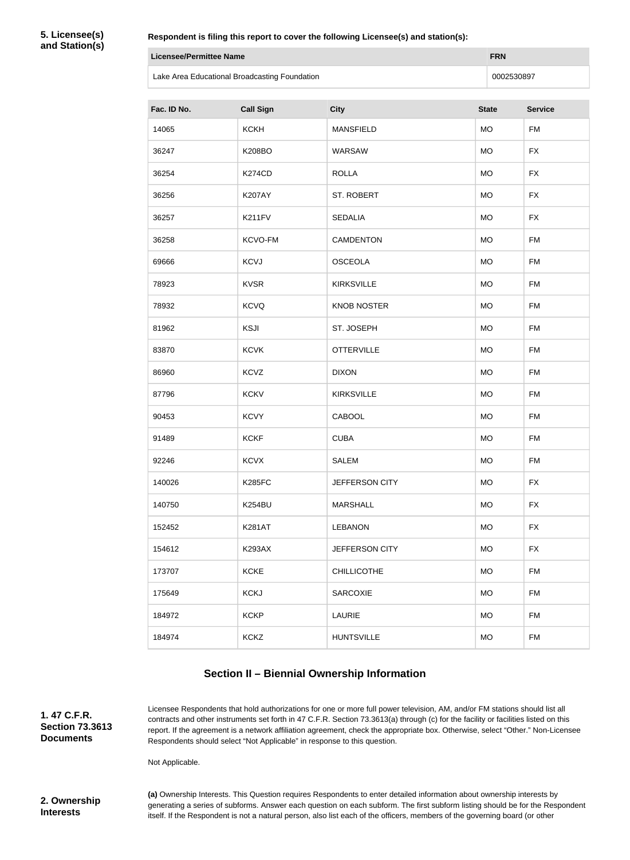**5. Licensee(s) and Station(s)**

|             | <b>Licensee/Permittee Name</b><br><b>FRN</b>  |                    |              |                |
|-------------|-----------------------------------------------|--------------------|--------------|----------------|
|             | Lake Area Educational Broadcasting Foundation |                    |              | 0002530897     |
| Fac. ID No. | <b>Call Sign</b>                              | <b>City</b>        | <b>State</b> | <b>Service</b> |
| 14065       | <b>KCKH</b>                                   | <b>MANSFIELD</b>   | <b>MO</b>    | <b>FM</b>      |
| 36247       | <b>K208BO</b>                                 | WARSAW             | <b>MO</b>    | <b>FX</b>      |
| 36254       | <b>K274CD</b>                                 | <b>ROLLA</b>       | <b>MO</b>    | <b>FX</b>      |
| 36256       | <b>K207AY</b>                                 | ST. ROBERT         | <b>MO</b>    | <b>FX</b>      |
| 36257       | <b>K211FV</b>                                 | <b>SEDALIA</b>     | <b>MO</b>    | <b>FX</b>      |
| 36258       | KCVO-FM                                       | <b>CAMDENTON</b>   | <b>MO</b>    | <b>FM</b>      |
| 69666       | <b>KCVJ</b>                                   | <b>OSCEOLA</b>     | <b>MO</b>    | <b>FM</b>      |
| 78923       | <b>KVSR</b>                                   | <b>KIRKSVILLE</b>  | <b>MO</b>    | <b>FM</b>      |
| 78932       | <b>KCVQ</b>                                   | <b>KNOB NOSTER</b> | <b>MO</b>    | <b>FM</b>      |
| 81962       | <b>KSJI</b>                                   | ST. JOSEPH         | <b>MO</b>    | <b>FM</b>      |
| 83870       | <b>KCVK</b>                                   | <b>OTTERVILLE</b>  | <b>MO</b>    | <b>FM</b>      |
| 86960       | <b>KCVZ</b>                                   | <b>DIXON</b>       | <b>MO</b>    | <b>FM</b>      |
| 87796       | <b>KCKV</b>                                   | <b>KIRKSVILLE</b>  | <b>MO</b>    | <b>FM</b>      |
| 90453       | <b>KCVY</b>                                   | <b>CABOOL</b>      | <b>MO</b>    | <b>FM</b>      |
| 91489       | <b>KCKF</b>                                   | <b>CUBA</b>        | <b>MO</b>    | FM             |
| 92246       | <b>KCVX</b>                                   | <b>SALEM</b>       | <b>MO</b>    | <b>FM</b>      |
| 140026      | <b>K285FC</b>                                 | JEFFERSON CITY     | <b>MO</b>    | <b>FX</b>      |
| 140750      | <b>K254BU</b>                                 | <b>MARSHALL</b>    | <b>MO</b>    | <b>FX</b>      |
| 152452      | <b>K281AT</b>                                 | <b>LEBANON</b>     | <b>MO</b>    | <b>FX</b>      |
| 154612      | <b>K293AX</b>                                 | JEFFERSON CITY     | <b>MO</b>    | <b>FX</b>      |
| 173707      | <b>KCKE</b>                                   | <b>CHILLICOTHE</b> | <b>MO</b>    | <b>FM</b>      |
| 175649      | <b>KCKJ</b>                                   | SARCOXIE           | <b>MO</b>    | <b>FM</b>      |

# **Section II – Biennial Ownership Information**

**1. 47 C.F.R. Section 73.3613 Documents**

Licensee Respondents that hold authorizations for one or more full power television, AM, and/or FM stations should list all contracts and other instruments set forth in 47 C.F.R. Section 73.3613(a) through (c) for the facility or facilities listed on this report. If the agreement is a network affiliation agreement, check the appropriate box. Otherwise, select "Other." Non-Licensee Respondents should select "Not Applicable" in response to this question.

184972 KCKP LAURIE MO FM

184974 KCKZ HUNTSVILLE MO FM

Not Applicable.

**2. Ownership Interests**

**(a)** Ownership Interests. This Question requires Respondents to enter detailed information about ownership interests by generating a series of subforms. Answer each question on each subform. The first subform listing should be for the Respondent itself. If the Respondent is not a natural person, also list each of the officers, members of the governing board (or other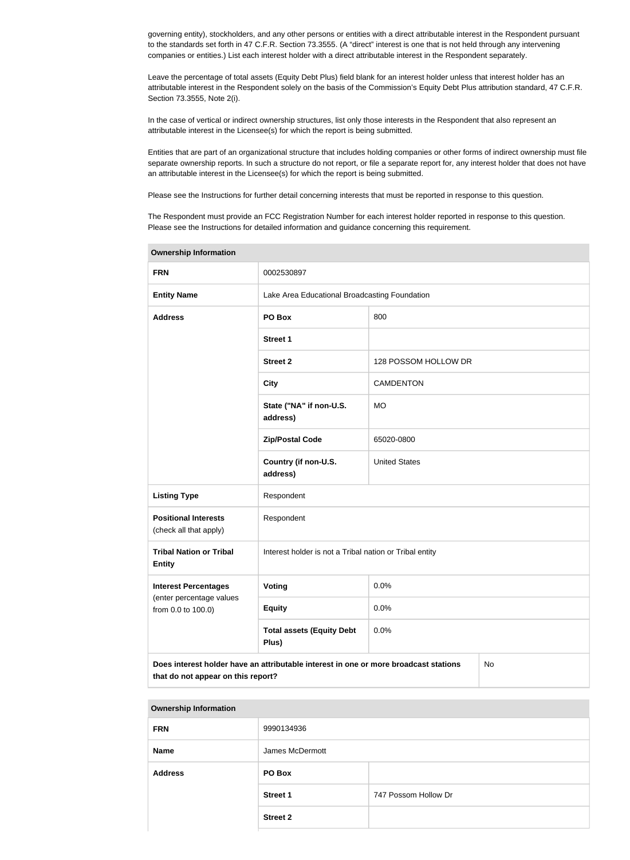governing entity), stockholders, and any other persons or entities with a direct attributable interest in the Respondent pursuant to the standards set forth in 47 C.F.R. Section 73.3555. (A "direct" interest is one that is not held through any intervening companies or entities.) List each interest holder with a direct attributable interest in the Respondent separately.

Leave the percentage of total assets (Equity Debt Plus) field blank for an interest holder unless that interest holder has an attributable interest in the Respondent solely on the basis of the Commission's Equity Debt Plus attribution standard, 47 C.F.R. Section 73.3555, Note 2(i).

In the case of vertical or indirect ownership structures, list only those interests in the Respondent that also represent an attributable interest in the Licensee(s) for which the report is being submitted.

Entities that are part of an organizational structure that includes holding companies or other forms of indirect ownership must file separate ownership reports. In such a structure do not report, or file a separate report for, any interest holder that does not have an attributable interest in the Licensee(s) for which the report is being submitted.

Please see the Instructions for further detail concerning interests that must be reported in response to this question.

The Respondent must provide an FCC Registration Number for each interest holder reported in response to this question. Please see the Instructions for detailed information and guidance concerning this requirement.

| <b>Ownership Information</b>                                                                                                     |                                                         |                      |  |  |
|----------------------------------------------------------------------------------------------------------------------------------|---------------------------------------------------------|----------------------|--|--|
| <b>FRN</b>                                                                                                                       | 0002530897                                              |                      |  |  |
| <b>Entity Name</b>                                                                                                               | Lake Area Educational Broadcasting Foundation           |                      |  |  |
| <b>Address</b>                                                                                                                   | PO Box                                                  | 800                  |  |  |
|                                                                                                                                  | <b>Street 1</b>                                         |                      |  |  |
|                                                                                                                                  | <b>Street 2</b>                                         | 128 POSSOM HOLLOW DR |  |  |
|                                                                                                                                  | <b>City</b>                                             | <b>CAMDENTON</b>     |  |  |
|                                                                                                                                  | State ("NA" if non-U.S.<br>address)                     | <b>MO</b>            |  |  |
|                                                                                                                                  | <b>Zip/Postal Code</b>                                  | 65020-0800           |  |  |
|                                                                                                                                  | Country (if non-U.S.<br>address)                        | <b>United States</b> |  |  |
| <b>Listing Type</b>                                                                                                              | Respondent                                              |                      |  |  |
| <b>Positional Interests</b><br>(check all that apply)                                                                            | Respondent                                              |                      |  |  |
| <b>Tribal Nation or Tribal</b><br><b>Entity</b>                                                                                  | Interest holder is not a Tribal nation or Tribal entity |                      |  |  |
| <b>Interest Percentages</b>                                                                                                      | <b>Voting</b>                                           | 0.0%                 |  |  |
| (enter percentage values<br>from 0.0 to 100.0)                                                                                   | <b>Equity</b>                                           | 0.0%                 |  |  |
|                                                                                                                                  | <b>Total assets (Equity Debt</b><br>Plus)               | 0.0%                 |  |  |
| Does interest holder have an attributable interest in one or more broadcast stations<br>No<br>that do not appear on this report? |                                                         |                      |  |  |

### **Ownership Information**

| <b>FRN</b>     | 9990134936      |                      |
|----------------|-----------------|----------------------|
| <b>Name</b>    | James McDermott |                      |
| <b>Address</b> | PO Box          |                      |
|                | <b>Street 1</b> | 747 Possom Hollow Dr |
|                | <b>Street 2</b> |                      |
|                |                 |                      |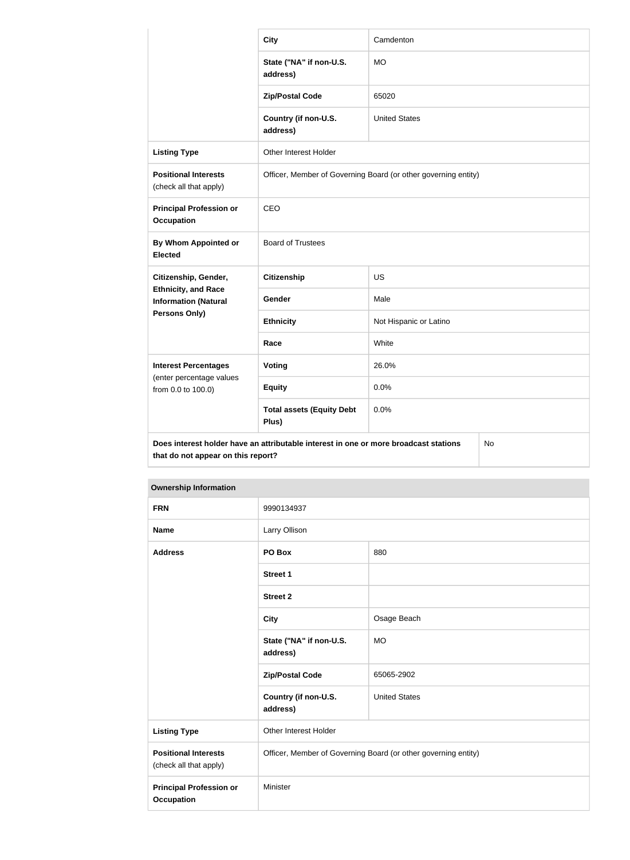|                                                           | <b>City</b>                                                                                                                      | Camdenton              |  |  |
|-----------------------------------------------------------|----------------------------------------------------------------------------------------------------------------------------------|------------------------|--|--|
|                                                           | State ("NA" if non-U.S.<br>address)                                                                                              | <b>MO</b>              |  |  |
|                                                           | <b>Zip/Postal Code</b>                                                                                                           | 65020                  |  |  |
|                                                           | Country (if non-U.S.<br>address)                                                                                                 | <b>United States</b>   |  |  |
| <b>Listing Type</b>                                       | Other Interest Holder                                                                                                            |                        |  |  |
| <b>Positional Interests</b><br>(check all that apply)     | Officer, Member of Governing Board (or other governing entity)                                                                   |                        |  |  |
| <b>Principal Profession or</b><br><b>Occupation</b>       | CEO                                                                                                                              |                        |  |  |
| By Whom Appointed or<br><b>Elected</b>                    | <b>Board of Trustees</b>                                                                                                         |                        |  |  |
| Citizenship, Gender,                                      | <b>Citizenship</b>                                                                                                               | <b>US</b>              |  |  |
| <b>Ethnicity, and Race</b><br><b>Information (Natural</b> | Gender                                                                                                                           | Male                   |  |  |
| Persons Only)                                             | <b>Ethnicity</b>                                                                                                                 | Not Hispanic or Latino |  |  |
|                                                           | Race                                                                                                                             | White                  |  |  |
| <b>Interest Percentages</b>                               | <b>Voting</b>                                                                                                                    | 26.0%                  |  |  |
| (enter percentage values<br>from 0.0 to 100.0)            | <b>Equity</b>                                                                                                                    | 0.0%                   |  |  |
|                                                           | <b>Total assets (Equity Debt</b><br>Plus)                                                                                        | 0.0%                   |  |  |
|                                                           | Does interest holder have an attributable interest in one or more broadcast stations<br>No<br>that do not appear on this report? |                        |  |  |

| <b>Ownership Information</b>                          |                                                                |                      |
|-------------------------------------------------------|----------------------------------------------------------------|----------------------|
| <b>FRN</b>                                            | 9990134937                                                     |                      |
| <b>Name</b>                                           | Larry Ollison                                                  |                      |
| <b>Address</b>                                        | PO Box                                                         | 880                  |
|                                                       | <b>Street 1</b>                                                |                      |
|                                                       | <b>Street 2</b>                                                |                      |
|                                                       | <b>City</b>                                                    | Osage Beach          |
|                                                       | State ("NA" if non-U.S.<br>address)                            | <b>MO</b>            |
|                                                       | <b>Zip/Postal Code</b>                                         | 65065-2902           |
|                                                       | Country (if non-U.S.<br>address)                               | <b>United States</b> |
| <b>Listing Type</b>                                   | Other Interest Holder                                          |                      |
| <b>Positional Interests</b><br>(check all that apply) | Officer, Member of Governing Board (or other governing entity) |                      |
| <b>Principal Profession or</b><br><b>Occupation</b>   | Minister                                                       |                      |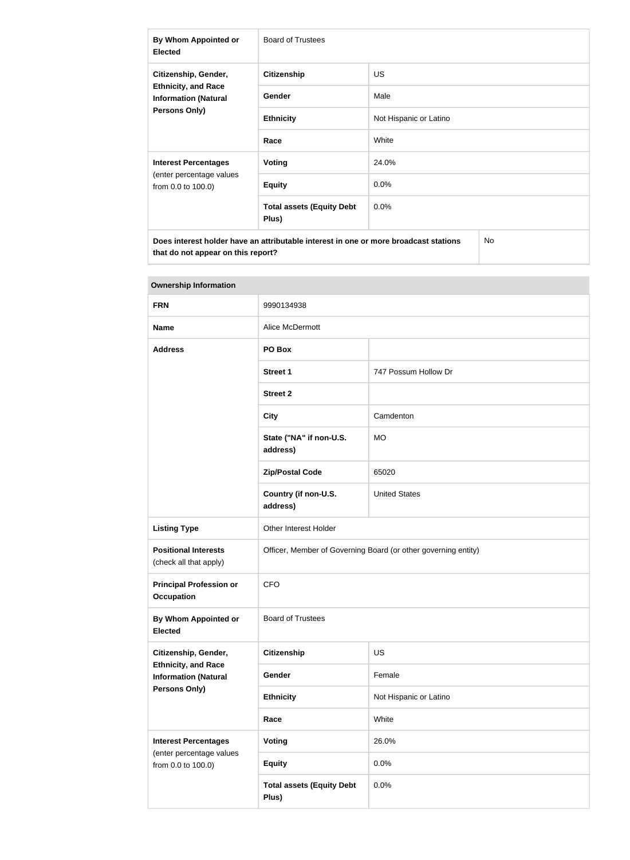| By Whom Appointed or<br><b>Elected</b>                                                                    | <b>Board of Trustees</b>                  |                        |  |
|-----------------------------------------------------------------------------------------------------------|-------------------------------------------|------------------------|--|
| Citizenship, Gender,<br><b>Ethnicity, and Race</b><br><b>Information (Natural</b><br><b>Persons Only)</b> | <b>Citizenship</b>                        | <b>US</b>              |  |
|                                                                                                           | <b>Gender</b>                             | Male                   |  |
|                                                                                                           | <b>Ethnicity</b>                          | Not Hispanic or Latino |  |
|                                                                                                           | Race                                      | White                  |  |
| <b>Interest Percentages</b><br>(enter percentage values<br>from 0.0 to 100.0)                             | Voting                                    | 24.0%                  |  |
|                                                                                                           | <b>Equity</b>                             | 0.0%                   |  |
|                                                                                                           | <b>Total assets (Equity Debt</b><br>Plus) | 0.0%                   |  |
| Does interest holder have an attributable interest in one or more broadcast stations<br>No                |                                           |                        |  |

| <b>Ownership Information</b>                                                                       |                                                                |                        |  |  |
|----------------------------------------------------------------------------------------------------|----------------------------------------------------------------|------------------------|--|--|
| <b>FRN</b>                                                                                         | 9990134938                                                     |                        |  |  |
| <b>Name</b>                                                                                        | Alice McDermott                                                |                        |  |  |
| <b>Address</b>                                                                                     | PO Box                                                         |                        |  |  |
|                                                                                                    | <b>Street 1</b>                                                | 747 Possum Hollow Dr   |  |  |
|                                                                                                    | <b>Street 2</b>                                                |                        |  |  |
|                                                                                                    | <b>City</b>                                                    | Camdenton              |  |  |
|                                                                                                    | State ("NA" if non-U.S.<br>address)                            | <b>MO</b>              |  |  |
|                                                                                                    | <b>Zip/Postal Code</b>                                         | 65020                  |  |  |
|                                                                                                    | Country (if non-U.S.<br>address)                               | <b>United States</b>   |  |  |
| <b>Listing Type</b>                                                                                | Other Interest Holder                                          |                        |  |  |
| <b>Positional Interests</b><br>(check all that apply)                                              | Officer, Member of Governing Board (or other governing entity) |                        |  |  |
| <b>Principal Profession or</b><br><b>Occupation</b>                                                | <b>CFO</b>                                                     |                        |  |  |
| <b>By Whom Appointed or</b><br><b>Elected</b>                                                      | <b>Board of Trustees</b>                                       |                        |  |  |
| Citizenship, Gender,<br><b>Ethnicity, and Race</b><br><b>Information (Natural</b><br>Persons Only) | <b>Citizenship</b>                                             | <b>US</b>              |  |  |
|                                                                                                    | Gender                                                         | Female                 |  |  |
|                                                                                                    | <b>Ethnicity</b>                                               | Not Hispanic or Latino |  |  |
|                                                                                                    | Race                                                           | White                  |  |  |
| <b>Interest Percentages</b><br>(enter percentage values<br>from 0.0 to 100.0)                      | <b>Voting</b>                                                  | 26.0%                  |  |  |
|                                                                                                    | <b>Equity</b>                                                  | 0.0%                   |  |  |
|                                                                                                    | <b>Total assets (Equity Debt</b><br>Plus)                      | 0.0%                   |  |  |

## **Tara**

**that do not appear on this report?**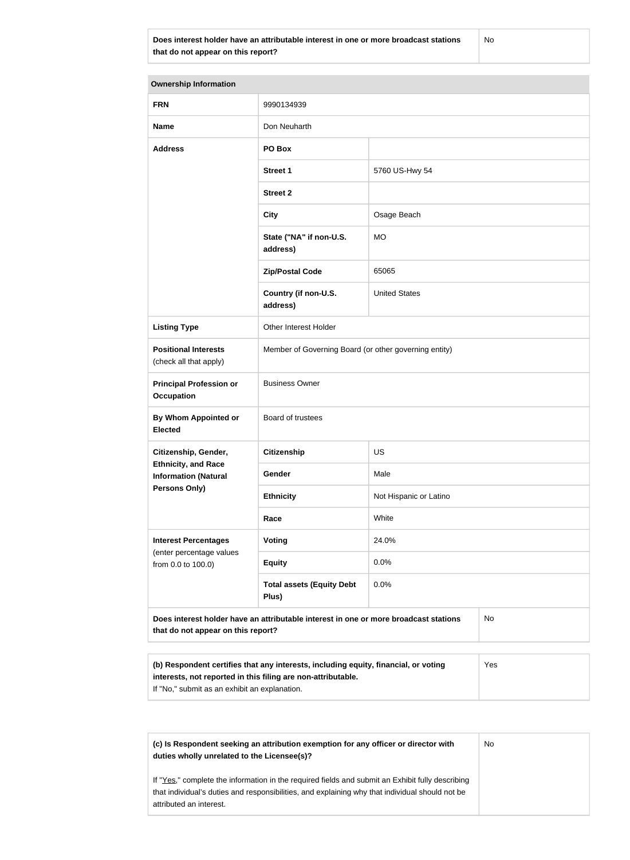**Does interest holder have an attributable interest in one or more broadcast stations that do not appear on this report?**

No

| <b>Ownership Information</b>                                                                                                                                                                                |                                                       |                        |  |  |
|-------------------------------------------------------------------------------------------------------------------------------------------------------------------------------------------------------------|-------------------------------------------------------|------------------------|--|--|
| <b>FRN</b>                                                                                                                                                                                                  | 9990134939                                            |                        |  |  |
| <b>Name</b>                                                                                                                                                                                                 | Don Neuharth                                          |                        |  |  |
| <b>Address</b>                                                                                                                                                                                              | PO Box                                                |                        |  |  |
|                                                                                                                                                                                                             | <b>Street 1</b>                                       | 5760 US-Hwy 54         |  |  |
|                                                                                                                                                                                                             | <b>Street 2</b>                                       |                        |  |  |
|                                                                                                                                                                                                             | <b>City</b>                                           | Osage Beach            |  |  |
|                                                                                                                                                                                                             | State ("NA" if non-U.S.<br>address)                   | <b>MO</b>              |  |  |
|                                                                                                                                                                                                             | <b>Zip/Postal Code</b>                                | 65065                  |  |  |
|                                                                                                                                                                                                             | Country (if non-U.S.<br>address)                      | <b>United States</b>   |  |  |
| <b>Listing Type</b>                                                                                                                                                                                         | Other Interest Holder                                 |                        |  |  |
| <b>Positional Interests</b><br>(check all that apply)                                                                                                                                                       | Member of Governing Board (or other governing entity) |                        |  |  |
| <b>Principal Profession or</b><br><b>Occupation</b>                                                                                                                                                         | <b>Business Owner</b>                                 |                        |  |  |
| By Whom Appointed or<br><b>Elected</b>                                                                                                                                                                      | Board of trustees                                     |                        |  |  |
| Citizenship, Gender,                                                                                                                                                                                        | <b>Citizenship</b>                                    | <b>US</b>              |  |  |
| <b>Ethnicity, and Race</b><br><b>Information (Natural</b><br>Persons Only)                                                                                                                                  | Gender                                                | Male                   |  |  |
|                                                                                                                                                                                                             | <b>Ethnicity</b>                                      | Not Hispanic or Latino |  |  |
|                                                                                                                                                                                                             | Race                                                  | White                  |  |  |
| <b>Interest Percentages</b><br>(enter percentage values<br>from 0.0 to 100.0)                                                                                                                               | <b>Voting</b>                                         | 24.0%                  |  |  |
|                                                                                                                                                                                                             | <b>Equity</b>                                         | 0.0%                   |  |  |
|                                                                                                                                                                                                             | <b>Total assets (Equity Debt</b><br>Plus)             | 0.0%                   |  |  |
| Does interest holder have an attributable interest in one or more broadcast stations<br>No<br>that do not appear on this report?                                                                            |                                                       |                        |  |  |
|                                                                                                                                                                                                             |                                                       |                        |  |  |
| (b) Respondent certifies that any interests, including equity, financial, or voting<br>Yes<br>interests, not reported in this filing are non-attributable.<br>If "No," submit as an exhibit an explanation. |                                                       |                        |  |  |

**(c) Is Respondent seeking an attribution exemption for any officer or director with duties wholly unrelated to the Licensee(s)?** If "Yes," complete the information in the required fields and submit an Exhibit fully describing that individual's duties and responsibilities, and explaining why that individual should not be attributed an interest. No